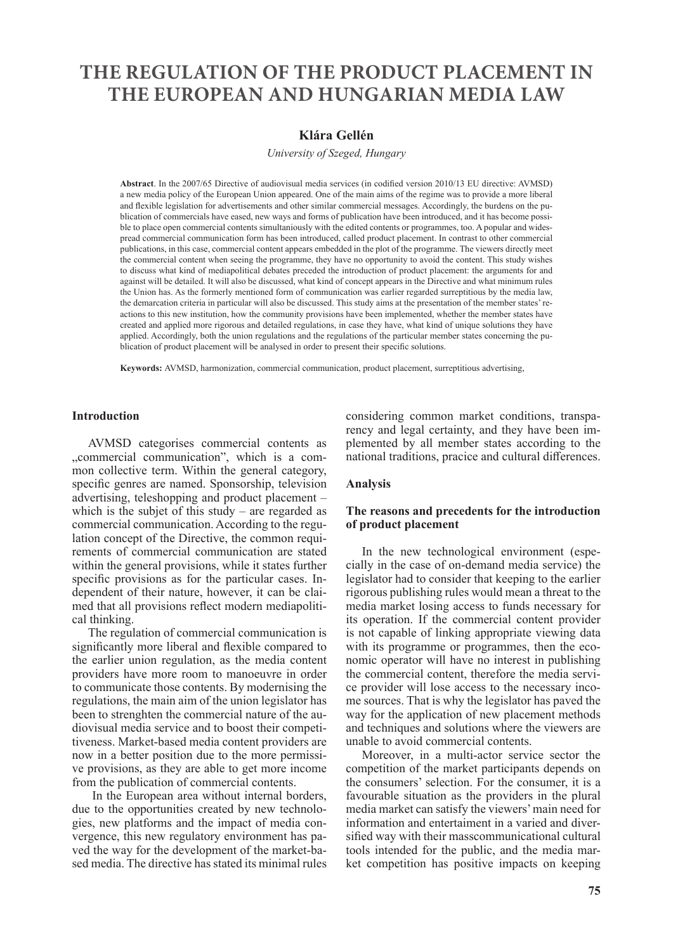# **THE REGULATION OF THE PRODUCT PLACEMENT IN THE EUROPEAN AND HUNGARIAN MEDIA LAW**

# **Klára Gellén**

*University of Szeged, Hungary*

**Abstract**. In the 2007/65 Directive of audiovisual media services (in codified version 2010/13 EU directive: AVMSD) a new media policy of the European Union appeared. One of the main aims of the regime was to provide a more liberal and flexible legislation for advertisements and other similar commercial messages. Accordingly, the burdens on the publication of commercials have eased, new ways and forms of publication have been introduced, and it has become possible to place open commercial contents simultaniously with the edited contents or programmes, too. A popular and widespread commercial communication form has been introduced, called product placement. In contrast to other commercial publications, in this case, commercial content appears embedded in the plot of the programme. The viewers directly meet the commercial content when seeing the programme, they have no opportunity to avoid the content. This study wishes to discuss what kind of mediapolitical debates preceded the introduction of product placement: the arguments for and against will be detailed. It will also be discussed, what kind of concept appears in the Directive and what minimum rules the Union has. As the formerly mentioned form of communication was earlier regarded surreptitious by the media law, the demarcation criteria in particular will also be discussed. This study aims at the presentation of the member states' reactions to this new institution, how the community provisions have been implemented, whether the member states have created and applied more rigorous and detailed regulations, in case they have, what kind of unique solutions they have applied. Accordingly, both the union regulations and the regulations of the particular member states concerning the publication of product placement will be analysed in order to present their specific solutions.

**Keywords:** AVMSD, harmonization, commercial communication, product placement, surreptitious advertising,

## **Introduction**

AVMSD categorises commercial contents as "commercial communication", which is a common collective term. Within the general category, specific genres are named. Sponsorship, television advertising, teleshopping and product placement – which is the subjet of this study – are regarded as commercial communication. According to the regulation concept of the Directive, the common requirements of commercial communication are stated within the general provisions, while it states further specific provisions as for the particular cases. Independent of their nature, however, it can be claimed that all provisions reflect modern mediapolitical thinking.

The regulation of commercial communication is significantly more liberal and flexible compared to the earlier union regulation, as the media content providers have more room to manoeuvre in order to communicate those contents. By modernising the regulations, the main aim of the union legislator has been to strenghten the commercial nature of the audiovisual media service and to boost their competitiveness. Market-based media content providers are now in a better position due to the more permissive provisions, as they are able to get more income from the publication of commercial contents.

 In the European area without internal borders, due to the opportunities created by new technologies, new platforms and the impact of media convergence, this new regulatory environment has paved the way for the development of the market-based media. The directive has stated its minimal rules

considering common market conditions, transparency and legal certainty, and they have been implemented by all member states according to the national traditions, pracice and cultural differences.

### **Analysis**

## **The reasons and precedents for the introduction of product placement**

In the new technological environment (especially in the case of on-demand media service) the legislator had to consider that keeping to the earlier rigorous publishing rules would mean a threat to the media market losing access to funds necessary for its operation. If the commercial content provider is not capable of linking appropriate viewing data with its programme or programmes, then the economic operator will have no interest in publishing the commercial content, therefore the media service provider will lose access to the necessary income sources. That is why the legislator has paved the way for the application of new placement methods and techniques and solutions where the viewers are unable to avoid commercial contents.

Moreover, in a multi-actor service sector the competition of the market participants depends on the consumers' selection. For the consumer, it is a favourable situation as the providers in the plural media market can satisfy the viewers' main need for information and entertaiment in a varied and diversified way with their masscommunicational cultural tools intended for the public, and the media market competition has positive impacts on keeping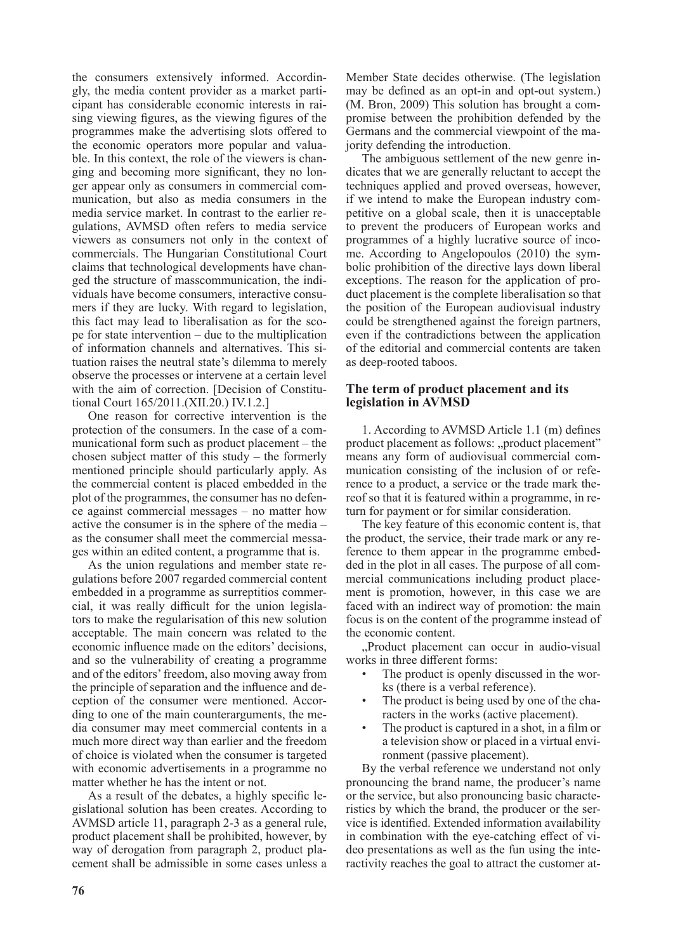the consumers extensively informed. Accordingly, the media content provider as a market participant has considerable economic interests in raising viewing figures, as the viewing figures of the programmes make the advertising slots offered to the economic operators more popular and valuable. In this context, the role of the viewers is changing and becoming more significant, they no longer appear only as consumers in commercial communication, but also as media consumers in the media service market. In contrast to the earlier regulations, AVMSD often refers to media service viewers as consumers not only in the context of commercials. The Hungarian Constitutional Court claims that technological developments have changed the structure of masscommunication, the individuals have become consumers, interactive consumers if they are lucky. With regard to legislation, this fact may lead to liberalisation as for the scope for state intervention – due to the multiplication of information channels and alternatives. This situation raises the neutral state's dilemma to merely observe the processes or intervene at a certain level with the aim of correction. [Decision of Constitutional Court 165/2011.(XII.20.) IV.1.2.]

One reason for corrective intervention is the protection of the consumers. In the case of a communicational form such as product placement – the chosen subject matter of this study – the formerly mentioned principle should particularly apply. As the commercial content is placed embedded in the plot of the programmes, the consumer has no defence against commercial messages – no matter how active the consumer is in the sphere of the media – as the consumer shall meet the commercial messages within an edited content, a programme that is.

As the union regulations and member state regulations before 2007 regarded commercial content embedded in a programme as surreptitios commercial, it was really difficult for the union legislators to make the regularisation of this new solution acceptable. The main concern was related to the economic influence made on the editors' decisions, and so the vulnerability of creating a programme and of the editors' freedom, also moving away from the principle of separation and the influence and deception of the consumer were mentioned. According to one of the main counterarguments, the media consumer may meet commercial contents in a much more direct way than earlier and the freedom of choice is violated when the consumer is targeted with economic advertisements in a programme no matter whether he has the intent or not.

As a result of the debates, a highly specific legislational solution has been creates. According to AVMSD article 11, paragraph 2-3 as a general rule, product placement shall be prohibited, however, by way of derogation from paragraph 2, product placement shall be admissible in some cases unless a Member State decides otherwise. (The legislation may be defined as an opt-in and opt-out system.) (M. Bron, 2009) This solution has brought a compromise between the prohibition defended by the Germans and the commercial viewpoint of the majority defending the introduction.

The ambiguous settlement of the new genre indicates that we are generally reluctant to accept the techniques applied and proved overseas, however, if we intend to make the European industry competitive on a global scale, then it is unacceptable to prevent the producers of European works and programmes of a highly lucrative source of income. According to Angelopoulos (2010) the symbolic prohibition of the directive lays down liberal exceptions. The reason for the application of product placement is the complete liberalisation so that the position of the European audiovisual industry could be strengthened against the foreign partners, even if the contradictions between the application of the editorial and commercial contents are taken as deep-rooted taboos.

## **The term of product placement and its legislation in AVMSD**

1. According to AVMSD Article 1.1 (m) defines product placement as follows: "product placement" means any form of audiovisual commercial communication consisting of the inclusion of or reference to a product, a service or the trade mark thereof so that it is featured within a programme, in return for payment or for similar consideration.

The key feature of this economic content is, that the product, the service, their trade mark or any reference to them appear in the programme embedded in the plot in all cases. The purpose of all commercial communications including product placement is promotion, however, in this case we are faced with an indirect way of promotion: the main focus is on the content of the programme instead of the economic content.

..Product placement can occur in audio-visual. works in three different forms:

- The product is openly discussed in the works (there is a verbal reference).
- The product is being used by one of the characters in the works (active placement).
- The product is captured in a shot, in a film or a television show or placed in a virtual environment (passive placement).

By the verbal reference we understand not only pronouncing the brand name, the producer's name or the service, but also pronouncing basic characteristics by which the brand, the producer or the service is identified. Extended information availability in combination with the eye-catching effect of video presentations as well as the fun using the interactivity reaches the goal to attract the customer at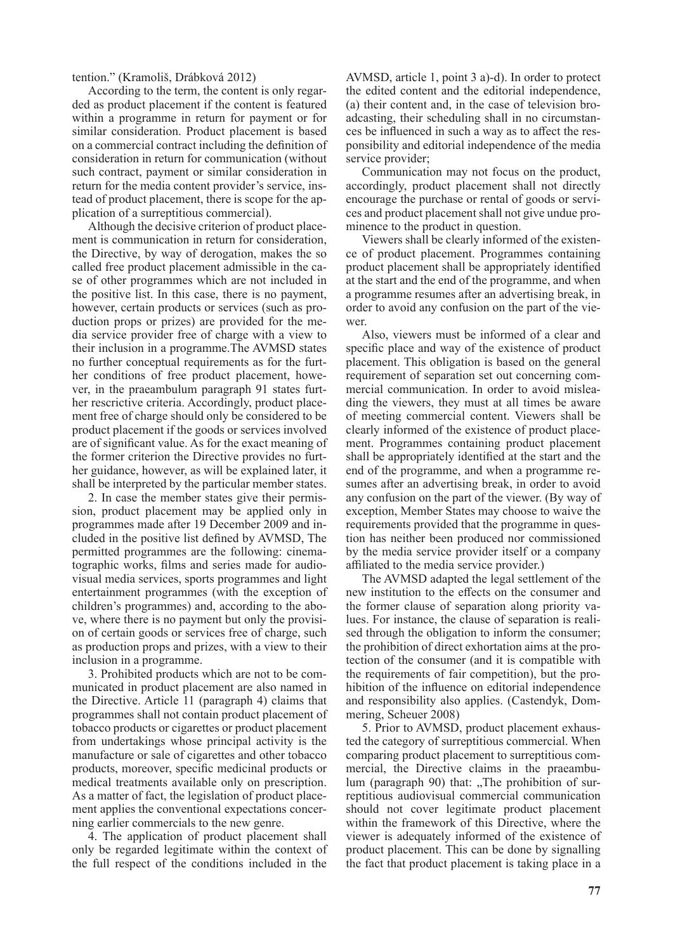tention." (Kramoliš, Drábková 2012)

According to the term, the content is only regarded as product placement if the content is featured within a programme in return for payment or for similar consideration. Product placement is based on a commercial contract including the definition of consideration in return for communication (without such contract, payment or similar consideration in return for the media content provider's service, instead of product placement, there is scope for the application of a surreptitious commercial).

Although the decisive criterion of product placement is communication in return for consideration, the Directive, by way of derogation, makes the so called free product placement admissible in the case of other programmes which are not included in the positive list. In this case, there is no payment, however, certain products or services (such as production props or prizes) are provided for the media service provider free of charge with a view to their inclusion in a programme.The AVMSD states no further conceptual requirements as for the further conditions of free product placement, however, in the praeambulum paragraph 91 states further rescrictive criteria. Accordingly, product placement free of charge should only be considered to be product placement if the goods or services involved are of significant value. As for the exact meaning of the former criterion the Directive provides no further guidance, however, as will be explained later, it shall be interpreted by the particular member states.

2. In case the member states give their permission, product placement may be applied only in programmes made after 19 December 2009 and included in the positive list defined by AVMSD, The permitted programmes are the following: cinematographic works, films and series made for audiovisual media services, sports programmes and light entertainment programmes (with the exception of children's programmes) and, according to the above, where there is no payment but only the provision of certain goods or services free of charge, such as production props and prizes, with a view to their inclusion in a programme.

3. Prohibited products which are not to be communicated in product placement are also named in the Directive. Article 11 (paragraph 4) claims that programmes shall not contain product placement of tobacco products or cigarettes or product placement from undertakings whose principal activity is the manufacture or sale of cigarettes and other tobacco products, moreover, specific medicinal products or medical treatments available only on prescription. As a matter of fact, the legislation of product placement applies the conventional expectations concerning earlier commercials to the new genre.

4. The application of product placement shall only be regarded legitimate within the context of the full respect of the conditions included in the AVMSD, article 1, point 3 a)-d). In order to protect the edited content and the editorial independence, (a) their content and, in the case of television broadcasting, their scheduling shall in no circumstances be influenced in such a way as to affect the responsibility and editorial independence of the media service provider;

Communication may not focus on the product, accordingly, product placement shall not directly encourage the purchase or rental of goods or services and product placement shall not give undue prominence to the product in question.

Viewers shall be clearly informed of the existence of product placement. Programmes containing product placement shall be appropriately identified at the start and the end of the programme, and when a programme resumes after an advertising break, in order to avoid any confusion on the part of the viewer.

Also, viewers must be informed of a clear and specific place and way of the existence of product placement. This obligation is based on the general requirement of separation set out concerning commercial communication. In order to avoid misleading the viewers, they must at all times be aware of meeting commercial content. Viewers shall be clearly informed of the existence of product placement. Programmes containing product placement shall be appropriately identified at the start and the end of the programme, and when a programme resumes after an advertising break, in order to avoid any confusion on the part of the viewer. (By way of exception, Member States may choose to waive the requirements provided that the programme in question has neither been produced nor commissioned by the media service provider itself or a company affiliated to the media service provider.)

The AVMSD adapted the legal settlement of the new institution to the effects on the consumer and the former clause of separation along priority values. For instance, the clause of separation is realised through the obligation to inform the consumer; the prohibition of direct exhortation aims at the protection of the consumer (and it is compatible with the requirements of fair competition), but the prohibition of the influence on editorial independence and responsibility also applies. (Castendyk, Dommering, Scheuer 2008)

5. Prior to AVMSD, product placement exhausted the category of surreptitious commercial. When comparing product placement to surreptitious commercial, the Directive claims in the praeambulum (paragraph 90) that: "The prohibition of surreptitious audiovisual commercial communication should not cover legitimate product placement within the framework of this Directive, where the viewer is adequately informed of the existence of product placement. This can be done by signalling the fact that product placement is taking place in a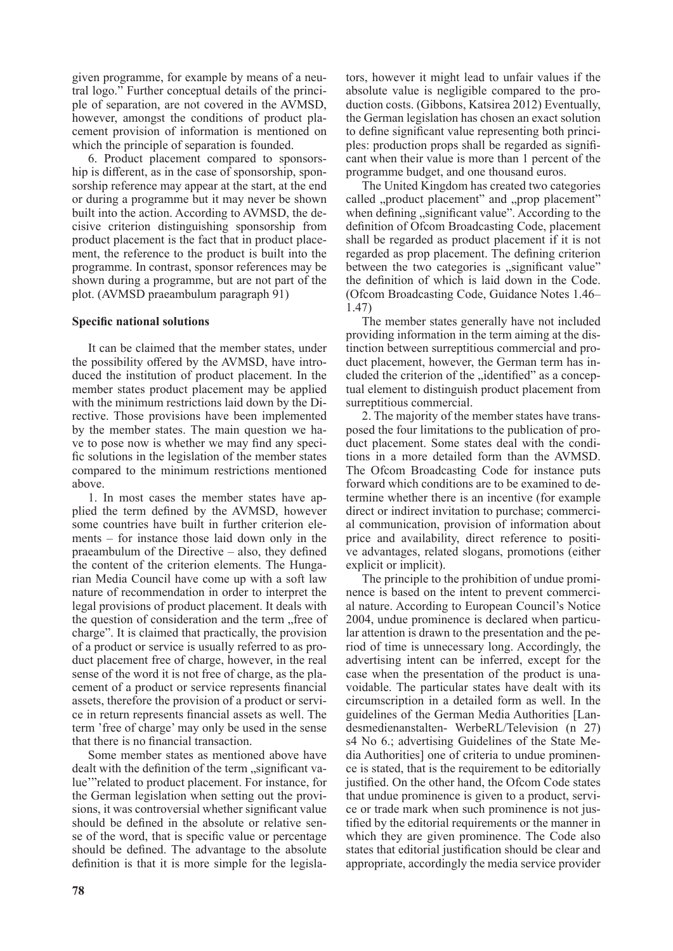given programme, for example by means of a neutral logo." Further conceptual details of the principle of separation, are not covered in the AVMSD, however, amongst the conditions of product placement provision of information is mentioned on which the principle of separation is founded.

6. Product placement compared to sponsorship is different, as in the case of sponsorship, sponsorship reference may appear at the start, at the end or during a programme but it may never be shown built into the action. According to AVMSD, the decisive criterion distinguishing sponsorship from product placement is the fact that in product placement, the reference to the product is built into the programme. In contrast, sponsor references may be shown during a programme, but are not part of the plot. (AVMSD praeambulum paragraph 91)

## **Specific national solutions**

It can be claimed that the member states, under the possibility offered by the AVMSD, have introduced the institution of product placement. In the member states product placement may be applied with the minimum restrictions laid down by the Directive. Those provisions have been implemented by the member states. The main question we have to pose now is whether we may find any specific solutions in the legislation of the member states compared to the minimum restrictions mentioned above.

1. In most cases the member states have applied the term defined by the AVMSD, however some countries have built in further criterion elements – for instance those laid down only in the praeambulum of the Directive – also, they defined the content of the criterion elements. The Hungarian Media Council have come up with a soft law nature of recommendation in order to interpret the legal provisions of product placement. It deals with the question of consideration and the term, free of charge". It is claimed that practically, the provision of a product or service is usually referred to as product placement free of charge, however, in the real sense of the word it is not free of charge, as the placement of a product or service represents financial assets, therefore the provision of a product or service in return represents financial assets as well. The term 'free of charge' may only be used in the sense that there is no financial transaction.

Some member states as mentioned above have dealt with the definition of the term "significant value'"related to product placement. For instance, for the German legislation when setting out the provisions, it was controversial whether significant value should be defined in the absolute or relative sense of the word, that is specific value or percentage should be defined. The advantage to the absolute definition is that it is more simple for the legislators, however it might lead to unfair values if the absolute value is negligible compared to the production costs. (Gibbons, Katsirea 2012) Eventually, the German legislation has chosen an exact solution to define significant value representing both principles: production props shall be regarded as significant when their value is more than 1 percent of the programme budget, and one thousand euros.

The United Kingdom has created two categories called "product placement" and "prop placement" when defining "significant value". According to the definition of Ofcom Broadcasting Code, placement shall be regarded as product placement if it is not regarded as prop placement. The defining criterion between the two categories is "significant value" the definition of which is laid down in the Code. (Ofcom Broadcasting Code, Guidance Notes 1.46– 1.47)

The member states generally have not included providing information in the term aiming at the distinction between surreptitious commercial and product placement, however, the German term has included the criterion of the "identified" as a conceptual element to distinguish product placement from surreptitious commercial.

2. The majority of the member states have transposed the four limitations to the publication of product placement. Some states deal with the conditions in a more detailed form than the AVMSD. The Ofcom Broadcasting Code for instance puts forward which conditions are to be examined to determine whether there is an incentive (for example direct or indirect invitation to purchase; commercial communication, provision of information about price and availability, direct reference to positive advantages, related slogans, promotions (either explicit or implicit).

The principle to the prohibition of undue prominence is based on the intent to prevent commercial nature. According to European Council's Notice 2004, undue prominence is declared when particular attention is drawn to the presentation and the period of time is unnecessary long. Accordingly, the advertising intent can be inferred, except for the case when the presentation of the product is unavoidable. The particular states have dealt with its circumscription in a detailed form as well. In the guidelines of the German Media Authorities [Landesmedienanstalten- WerbeRL/Television (n 27) s4 No 6.; advertising Guidelines of the State Media Authorities] one of criteria to undue prominence is stated, that is the requirement to be editorially justified. On the other hand, the Ofcom Code states that undue prominence is given to a product, service or trade mark when such prominence is not justified by the editorial requirements or the manner in which they are given prominence. The Code also states that editorial justification should be clear and appropriate, accordingly the media service provider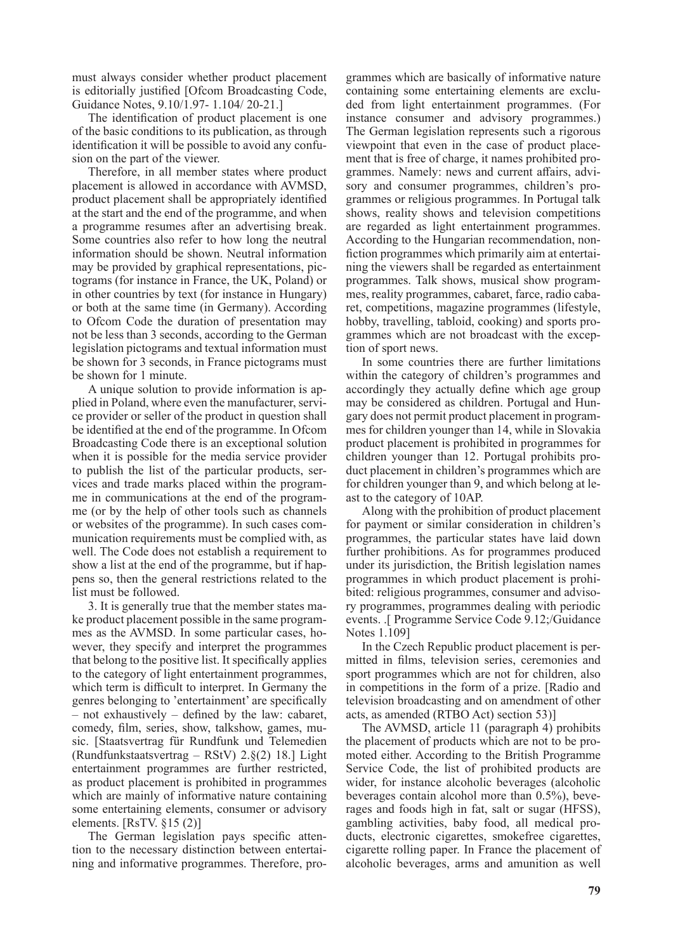must always consider whether product placement is editorially justified [Ofcom Broadcasting Code, Guidance Notes, 9.10/1.97- 1.104/ 20-21.]

The identification of product placement is one of the basic conditions to its publication, as through identification it will be possible to avoid any confusion on the part of the viewer.

Therefore, in all member states where product placement is allowed in accordance with AVMSD, product placement shall be appropriately identified at the start and the end of the programme, and when a programme resumes after an advertising break. Some countries also refer to how long the neutral information should be shown. Neutral information may be provided by graphical representations, pictograms (for instance in France, the UK, Poland) or in other countries by text (for instance in Hungary) or both at the same time (in Germany). According to Ofcom Code the duration of presentation may not be less than 3 seconds, according to the German legislation pictograms and textual information must be shown for 3 seconds, in France pictograms must be shown for 1 minute.

A unique solution to provide information is applied in Poland, where even the manufacturer, service provider or seller of the product in question shall be identified at the end of the programme. In Ofcom Broadcasting Code there is an exceptional solution when it is possible for the media service provider to publish the list of the particular products, services and trade marks placed within the programme in communications at the end of the programme (or by the help of other tools such as channels or websites of the programme). In such cases communication requirements must be complied with, as well. The Code does not establish a requirement to show a list at the end of the programme, but if happens so, then the general restrictions related to the list must be followed.

3. It is generally true that the member states make product placement possible in the same programmes as the AVMSD. In some particular cases, however, they specify and interpret the programmes that belong to the positive list. It specifically applies to the category of light entertainment programmes, which term is difficult to interpret. In Germany the genres belonging to 'entertainment' are specifically – not exhaustively – defined by the law: cabaret, comedy, film, series, show, talkshow, games, music. [Staatsvertrag für Rundfunk und Telemedien (Rundfunkstaatsvertrag – RStV) 2.§(2) 18.] Light entertainment programmes are further restricted, as product placement is prohibited in programmes which are mainly of informative nature containing some entertaining elements, consumer or advisory elements. [RsTV. §15 (2)]

The German legislation pays specific attention to the necessary distinction between entertaining and informative programmes. Therefore, programmes which are basically of informative nature containing some entertaining elements are excluded from light entertainment programmes. (For instance consumer and advisory programmes.) The German legislation represents such a rigorous viewpoint that even in the case of product placement that is free of charge, it names prohibited programmes. Namely: news and current affairs, advisory and consumer programmes, children's programmes or religious programmes. In Portugal talk shows, reality shows and television competitions are regarded as light entertainment programmes. According to the Hungarian recommendation, nonfiction programmes which primarily aim at entertaining the viewers shall be regarded as entertainment programmes. Talk shows, musical show programmes, reality programmes, cabaret, farce, radio cabaret, competitions, magazine programmes (lifestyle, hobby, travelling, tabloid, cooking) and sports programmes which are not broadcast with the exception of sport news.

In some countries there are further limitations within the category of children's programmes and accordingly they actually define which age group may be considered as children. Portugal and Hungary does not permit product placement in programmes for children younger than 14, while in Slovakia product placement is prohibited in programmes for children younger than 12. Portugal prohibits product placement in children's programmes which are for children younger than 9, and which belong at least to the category of 10AP.

Along with the prohibition of product placement for payment or similar consideration in children's programmes, the particular states have laid down further prohibitions. As for programmes produced under its jurisdiction, the British legislation names programmes in which product placement is prohibited: religious programmes, consumer and advisory programmes, programmes dealing with periodic events. .[ Programme Service Code 9.12;/Guidance Notes 1.109]

In the Czech Republic product placement is permitted in films, television series, ceremonies and sport programmes which are not for children, also in competitions in the form of a prize. [Radio and television broadcasting and on amendment of other acts, as amended (RTBO Act) section 53)]

The AVMSD, article 11 (paragraph 4) prohibits the placement of products which are not to be promoted either. According to the British Programme Service Code, the list of prohibited products are wider, for instance alcoholic beverages (alcoholic beverages contain alcohol more than 0.5%), beverages and foods high in fat, salt or sugar (HFSS), gambling activities, baby food, all medical products, electronic cigarettes, smokefree cigarettes, cigarette rolling paper. In France the placement of alcoholic beverages, arms and amunition as well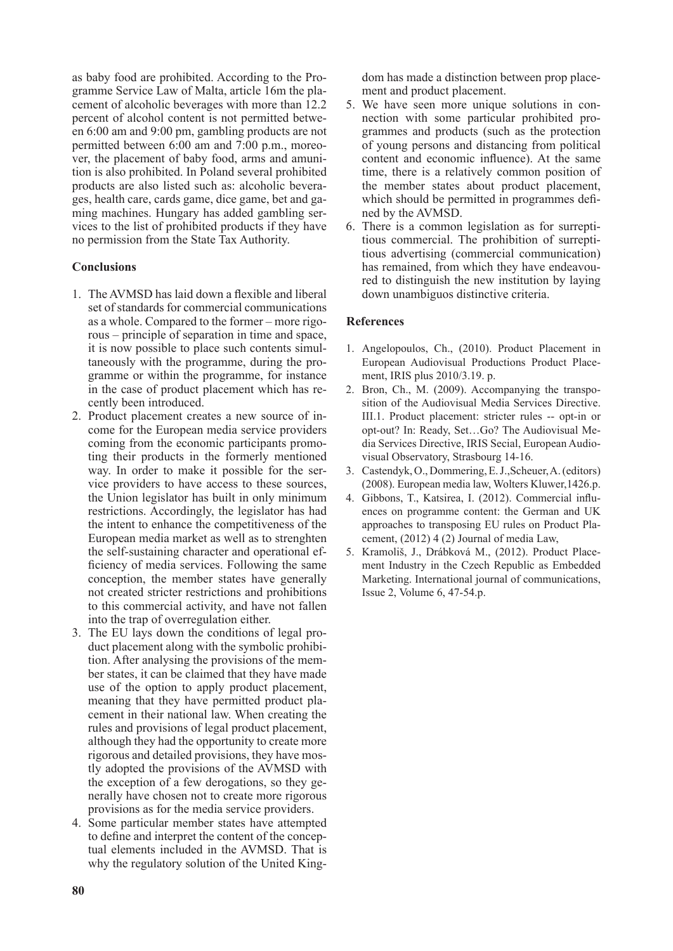as baby food are prohibited. According to the Programme Service Law of Malta, article 16m the placement of alcoholic beverages with more than 12.2 percent of alcohol content is not permitted between 6:00 am and 9:00 pm, gambling products are not permitted between 6:00 am and 7:00 p.m., moreover, the placement of baby food, arms and amunition is also prohibited. In Poland several prohibited products are also listed such as: alcoholic beverages, health care, cards game, dice game, bet and gaming machines. Hungary has added gambling services to the list of prohibited products if they have no permission from the State Tax Authority.

# **Conclusions**

- 1. The AVMSD has laid down a flexible and liberal set of standards for commercial communications as a whole. Compared to the former – more rigorous – principle of separation in time and space, it is now possible to place such contents simultaneously with the programme, during the programme or within the programme, for instance in the case of product placement which has recently been introduced.
- 2. Product placement creates a new source of income for the European media service providers coming from the economic participants promoting their products in the formerly mentioned way. In order to make it possible for the service providers to have access to these sources, the Union legislator has built in only minimum restrictions. Accordingly, the legislator has had the intent to enhance the competitiveness of the European media market as well as to strenghten the self-sustaining character and operational efficiency of media services. Following the same conception, the member states have generally not created stricter restrictions and prohibitions to this commercial activity, and have not fallen into the trap of overregulation either.
- 3. The EU lays down the conditions of legal product placement along with the symbolic prohibition. After analysing the provisions of the member states, it can be claimed that they have made use of the option to apply product placement, meaning that they have permitted product placement in their national law. When creating the rules and provisions of legal product placement, although they had the opportunity to create more rigorous and detailed provisions, they have mostly adopted the provisions of the AVMSD with the exception of a few derogations, so they generally have chosen not to create more rigorous provisions as for the media service providers.
- 4. Some particular member states have attempted to define and interpret the content of the conceptual elements included in the AVMSD. That is why the regulatory solution of the United King-

dom has made a distinction between prop placement and product placement.

- 5. We have seen more unique solutions in connection with some particular prohibited programmes and products (such as the protection of young persons and distancing from political content and economic influence). At the same time, there is a relatively common position of the member states about product placement, which should be permitted in programmes defined by the AVMSD.
- 6. There is a common legislation as for surreptitious commercial. The prohibition of surreptitious advertising (commercial communication) has remained, from which they have endeavoured to distinguish the new institution by laying down unambiguos distinctive criteria.

## **References**

- 1. Angelopoulos, Ch., (2010). Product Placement in European Audiovisual Productions Product Placement, IRIS plus 2010/3.19. p.
- 2. Bron, Ch., M. (2009). Accompanying the transposition of the Audiovisual Media Services Directive. III.1. Product placement: stricter rules -- opt-in or opt-out? In: Ready, Set…Go? The Audiovisual Media Services Directive, IRIS Secial, European Audiovisual Observatory, Strasbourg 14-16.
- 3. Castendyk,O., Dommering,E. J.,Scheuer, A. (editors) (2008). European media law, Wolters Kluwer,1426.p.
- 4. Gibbons, T., Katsirea, I. (2012). Commercial influences on programme content: the German and UK approaches to transposing EU rules on Product Placement, (2012) 4 (2) Journal of media Law,
- 5. Kramoliš, J., Drábková M., (2012). Product Placement Industry in the Czech Republic as Embedded Marketing. International journal of communications, Issue 2, Volume 6, 47-54.p.